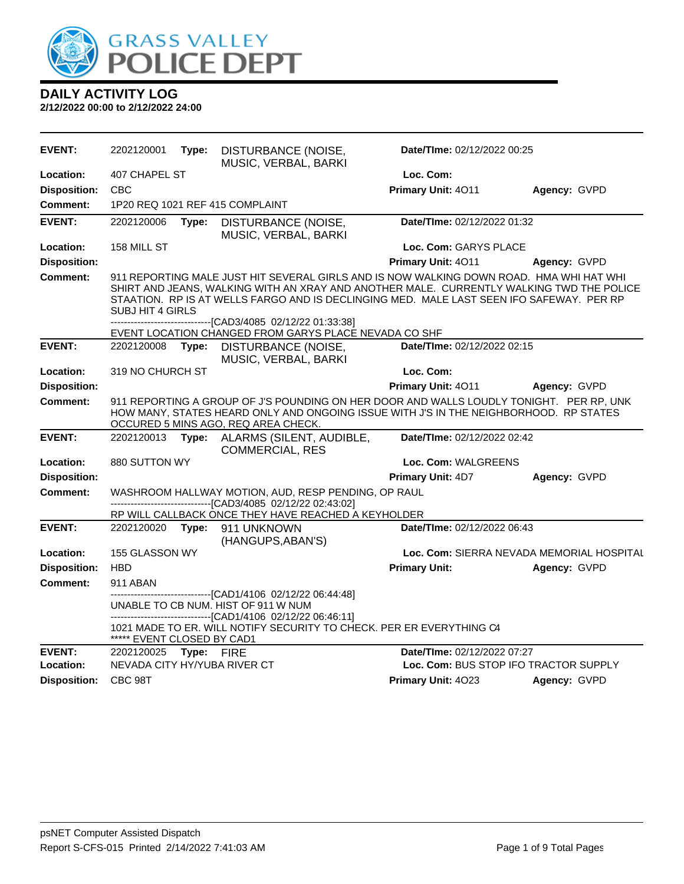

| <b>EVENT:</b>              | 2202120001                                                                                                                                                                                                                                                                                          | Type:                                                                                                                  | DISTURBANCE (NOISE,<br>MUSIC, VERBAL, BARKI                                                                                                                                                                                        | Date/TIme: 02/12/2022 00:25                                          |              |  |
|----------------------------|-----------------------------------------------------------------------------------------------------------------------------------------------------------------------------------------------------------------------------------------------------------------------------------------------------|------------------------------------------------------------------------------------------------------------------------|------------------------------------------------------------------------------------------------------------------------------------------------------------------------------------------------------------------------------------|----------------------------------------------------------------------|--------------|--|
| Location:                  | 407 CHAPEL ST                                                                                                                                                                                                                                                                                       |                                                                                                                        |                                                                                                                                                                                                                                    | Loc. Com:                                                            |              |  |
| <b>Disposition:</b>        | <b>CBC</b>                                                                                                                                                                                                                                                                                          |                                                                                                                        |                                                                                                                                                                                                                                    | Primary Unit: 4011                                                   | Agency: GVPD |  |
| <b>Comment:</b>            |                                                                                                                                                                                                                                                                                                     |                                                                                                                        | 1P20 REQ 1021 REF 415 COMPLAINT                                                                                                                                                                                                    |                                                                      |              |  |
| <b>EVENT:</b>              | 2202120006                                                                                                                                                                                                                                                                                          | Type:                                                                                                                  | DISTURBANCE (NOISE,<br>MUSIC, VERBAL, BARKI                                                                                                                                                                                        | Date/TIme: 02/12/2022 01:32                                          |              |  |
| Location:                  | 158 MILL ST                                                                                                                                                                                                                                                                                         |                                                                                                                        |                                                                                                                                                                                                                                    | Loc. Com: GARYS PLACE                                                |              |  |
| <b>Disposition:</b>        |                                                                                                                                                                                                                                                                                                     |                                                                                                                        |                                                                                                                                                                                                                                    | Primary Unit: 4011                                                   | Agency: GVPD |  |
| <b>Comment:</b>            | 911 REPORTING MALE JUST HIT SEVERAL GIRLS AND IS NOW WALKING DOWN ROAD. HMA WHI HAT WHI<br>SHIRT AND JEANS, WALKING WITH AN XRAY AND ANOTHER MALE. CURRENTLY WALKING TWD THE POLICE<br>STAATION. RP IS AT WELLS FARGO AND IS DECLINGING MED. MALE LAST SEEN IFO SAFEWAY. PER RP<br>SUBJ HIT 4 GIRLS |                                                                                                                        |                                                                                                                                                                                                                                    |                                                                      |              |  |
|                            |                                                                                                                                                                                                                                                                                                     | --------------------------------[CAD3/4085 02/12/22 01:33:38]<br>EVENT LOCATION CHANGED FROM GARYS PLACE NEVADA CO SHF |                                                                                                                                                                                                                                    |                                                                      |              |  |
| <b>EVENT:</b>              | 2202120008                                                                                                                                                                                                                                                                                          | Type:                                                                                                                  | DISTURBANCE (NOISE,<br>MUSIC, VERBAL, BARKI                                                                                                                                                                                        | Date/TIme: 02/12/2022 02:15                                          |              |  |
| Location:                  | 319 NO CHURCH ST                                                                                                                                                                                                                                                                                    |                                                                                                                        |                                                                                                                                                                                                                                    | Loc. Com:                                                            |              |  |
| <b>Disposition:</b>        |                                                                                                                                                                                                                                                                                                     |                                                                                                                        |                                                                                                                                                                                                                                    | Primary Unit: 4011                                                   | Agency: GVPD |  |
| Comment:                   | 911 REPORTING A GROUP OF J'S POUNDING ON HER DOOR AND WALLS LOUDLY TONIGHT. PER RP, UNK<br>HOW MANY, STATES HEARD ONLY AND ONGOING ISSUE WITH J'S IN THE NEIGHBORHOOD. RP STATES<br>OCCURED 5 MINS AGO, REQ AREA CHECK.                                                                             |                                                                                                                        |                                                                                                                                                                                                                                    |                                                                      |              |  |
| <b>EVENT:</b>              | 2202120013 Type:                                                                                                                                                                                                                                                                                    |                                                                                                                        | ALARMS (SILENT, AUDIBLE,<br><b>COMMERCIAL, RES</b>                                                                                                                                                                                 | Date/TIme: 02/12/2022 02:42                                          |              |  |
| Location:                  | 880 SUTTON WY                                                                                                                                                                                                                                                                                       |                                                                                                                        |                                                                                                                                                                                                                                    | Loc. Com: WALGREENS                                                  |              |  |
| <b>Disposition:</b>        |                                                                                                                                                                                                                                                                                                     |                                                                                                                        |                                                                                                                                                                                                                                    | Primary Unit: 4D7                                                    | Agency: GVPD |  |
| <b>Comment:</b>            |                                                                                                                                                                                                                                                                                                     |                                                                                                                        | WASHROOM HALLWAY MOTION, AUD, RESP PENDING, OP RAUL<br>--------------------------------[CAD3/4085 02/12/22 02:43:02]                                                                                                               |                                                                      |              |  |
|                            |                                                                                                                                                                                                                                                                                                     |                                                                                                                        | RP WILL CALLBACK ONCE THEY HAVE REACHED A KEYHOLDER                                                                                                                                                                                |                                                                      |              |  |
| <b>EVENT:</b>              | 2202120020 Type:                                                                                                                                                                                                                                                                                    |                                                                                                                        | 911 UNKNOWN<br>(HANGUPS, ABAN'S)                                                                                                                                                                                                   | Date/TIme: 02/12/2022 06:43                                          |              |  |
| Location:                  | 155 GLASSON WY                                                                                                                                                                                                                                                                                      |                                                                                                                        |                                                                                                                                                                                                                                    | Loc. Com: SIERRA NEVADA MEMORIAL HOSPITAL                            |              |  |
| <b>Disposition:</b>        | <b>HBD</b>                                                                                                                                                                                                                                                                                          |                                                                                                                        |                                                                                                                                                                                                                                    | <b>Primary Unit:</b>                                                 | Agency: GVPD |  |
| <b>Comment:</b>            | 911 ABAN                                                                                                                                                                                                                                                                                            |                                                                                                                        |                                                                                                                                                                                                                                    |                                                                      |              |  |
|                            |                                                                                                                                                                                                                                                                                                     |                                                                                                                        | -----------------------[CAD1/4106 02/12/22 06:44:48]<br>UNABLE TO CB NUM. HIST OF 911 W NUM<br>------------------------------[CAD1/4106 02/12/22 06:46:11]<br>1021 MADE TO ER. WILL NOTIFY SECURITY TO CHECK. PER ER EVERYTHING C4 |                                                                      |              |  |
|                            | ***** EVENT CLOSED BY CAD1                                                                                                                                                                                                                                                                          |                                                                                                                        |                                                                                                                                                                                                                                    |                                                                      |              |  |
| <b>EVENT:</b><br>Location: | 2202120025                                                                                                                                                                                                                                                                                          |                                                                                                                        | Type: FIRE<br>NEVADA CITY HY/YUBA RIVER CT                                                                                                                                                                                         | Date/TIme: 02/12/2022 07:27<br>Loc. Com: BUS STOP IFO TRACTOR SUPPLY |              |  |
| <b>Disposition:</b>        | CBC 98T                                                                                                                                                                                                                                                                                             |                                                                                                                        |                                                                                                                                                                                                                                    | Primary Unit: 4023                                                   | Agency: GVPD |  |
|                            |                                                                                                                                                                                                                                                                                                     |                                                                                                                        |                                                                                                                                                                                                                                    |                                                                      |              |  |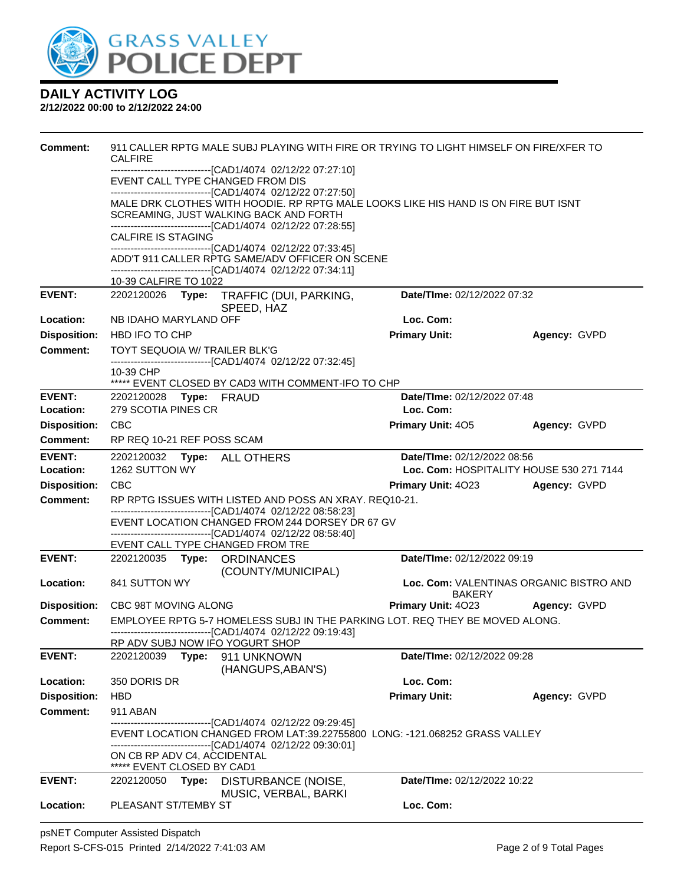

| Comment:                   | <b>CALFIRE</b>                                                                                                                                                                                     | 911 CALLER RPTG MALE SUBJ PLAYING WITH FIRE OR TRYING TO LIGHT HIMSELF ON FIRE/XFER TO |              |  |  |
|----------------------------|----------------------------------------------------------------------------------------------------------------------------------------------------------------------------------------------------|----------------------------------------------------------------------------------------|--------------|--|--|
|                            | ------------------------------[CAD1/4074_02/12/22 07:27:10]                                                                                                                                        |                                                                                        |              |  |  |
|                            | EVENT CALL TYPE CHANGED FROM DIS                                                                                                                                                                   |                                                                                        |              |  |  |
|                            | -------------------------------[CAD1/4074 02/12/22 07:27:50]<br>MALE DRK CLOTHES WITH HOODIE. RP RPTG MALE LOOKS LIKE HIS HAND IS ON FIRE BUT ISNT                                                 |                                                                                        |              |  |  |
|                            | SCREAMING, JUST WALKING BACK AND FORTH                                                                                                                                                             |                                                                                        |              |  |  |
|                            | -------------------------------[CAD1/4074_02/12/22 07:28:55]<br>CALFIRE IS STAGING                                                                                                                 |                                                                                        |              |  |  |
|                            | -------------------------------[CAD1/4074_02/12/22 07:33:45]                                                                                                                                       |                                                                                        |              |  |  |
|                            | ADD'T 911 CALLER RPTG SAME/ADV OFFICER ON SCENE<br>------------------------------[CAD1/4074 02/12/22 07:34:11]                                                                                     |                                                                                        |              |  |  |
|                            | 10-39 CALFIRE TO 1022                                                                                                                                                                              |                                                                                        |              |  |  |
| <b>EVENT:</b>              | 2202120026 Type: TRAFFIC (DUI, PARKING,<br>SPEED, HAZ                                                                                                                                              | Date/TIme: 02/12/2022 07:32                                                            |              |  |  |
| Location:                  | NB IDAHO MARYLAND OFF                                                                                                                                                                              | Loc. Com:                                                                              |              |  |  |
| <b>Disposition:</b>        | HBD IFO TO CHP                                                                                                                                                                                     | <b>Primary Unit:</b>                                                                   | Agency: GVPD |  |  |
| <b>Comment:</b>            | TOYT SEQUOIA W/ TRAILER BLK'G<br>-------------------------------[CAD1/4074 02/12/22 07:32:45]                                                                                                      |                                                                                        |              |  |  |
|                            | 10-39 CHP                                                                                                                                                                                          |                                                                                        |              |  |  |
|                            | ***** EVENT CLOSED BY CAD3 WITH COMMENT-IFO TO CHP                                                                                                                                                 |                                                                                        |              |  |  |
| <b>EVENT:</b><br>Location: | 2202120028 Type: FRAUD                                                                                                                                                                             | Date/TIme: 02/12/2022 07:48                                                            |              |  |  |
|                            | 279 SCOTIA PINES CR                                                                                                                                                                                | Loc. Com:                                                                              |              |  |  |
| <b>Disposition:</b>        | <b>CBC</b>                                                                                                                                                                                         | <b>Primary Unit: 405</b>                                                               | Agency: GVPD |  |  |
| <b>Comment:</b>            | RP REQ 10-21 REF POSS SCAM                                                                                                                                                                         |                                                                                        |              |  |  |
| <b>EVENT:</b>              | 2202120032 Type: ALL OTHERS                                                                                                                                                                        | Date/TIme: 02/12/2022 08:56                                                            |              |  |  |
| Location:                  | 1262 SUTTON WY                                                                                                                                                                                     | Loc. Com: HOSPITALITY HOUSE 530 271 7144                                               |              |  |  |
| <b>Disposition:</b>        | <b>CBC</b>                                                                                                                                                                                         | <b>Primary Unit: 4023</b>                                                              | Agency: GVPD |  |  |
| <b>Comment:</b>            | RP RPTG ISSUES WITH LISTED AND POSS AN XRAY. REQ10-21.<br>-------------------------------[CAD1/4074_02/12/22 08:58:23]                                                                             |                                                                                        |              |  |  |
|                            | EVENT LOCATION CHANGED FROM 244 DORSEY DR 67 GV                                                                                                                                                    |                                                                                        |              |  |  |
|                            | -------------------------------[CAD1/4074_02/12/22 08:58:40]                                                                                                                                       |                                                                                        |              |  |  |
| <b>EVENT:</b>              | EVENT CALL TYPE CHANGED FROM TRE<br>2202120035 Type: ORDINANCES                                                                                                                                    | Date/TIme: 02/12/2022 09:19                                                            |              |  |  |
|                            | (COUNTY/MUNICIPAL)                                                                                                                                                                                 |                                                                                        |              |  |  |
| Location:                  | 841 SUTTON WY                                                                                                                                                                                      | Loc. Com: VALENTINAS ORGANIC BISTRO AND<br><b>BAKERY</b>                               |              |  |  |
|                            | Disposition: CBC 98T MOVING ALONG                                                                                                                                                                  | <b>Primary Unit: 4023 Agency: GVPD</b>                                                 |              |  |  |
| Comment:                   | EMPLOYEE RPTG 5-7 HOMELESS SUBJ IN THE PARKING LOT. REQ THEY BE MOVED ALONG.<br>--------------------------------[CAD1/4074_02/12/22 09:19:43]                                                      |                                                                                        |              |  |  |
|                            | RP ADV SUBJ NOW IFO YOGURT SHOP                                                                                                                                                                    |                                                                                        |              |  |  |
| <b>EVENT:</b>              | 2202120039<br>911 UNKNOWN<br>Type:<br>(HANGUPS, ABAN'S)                                                                                                                                            | Date/TIme: 02/12/2022 09:28                                                            |              |  |  |
| Location:                  | 350 DORIS DR                                                                                                                                                                                       | Loc. Com:                                                                              |              |  |  |
| <b>Disposition:</b>        | <b>HBD</b>                                                                                                                                                                                         | <b>Primary Unit:</b>                                                                   | Agency: GVPD |  |  |
| Comment:                   | 911 ABAN                                                                                                                                                                                           |                                                                                        |              |  |  |
|                            | -----------------------[CAD1/4074_02/12/22 09:29:45]<br>EVENT LOCATION CHANGED FROM LAT:39.22755800 LONG: -121.068252 GRASS VALLEY<br>-------------------------------[CAD1/4074_02/12/22 09:30:01] |                                                                                        |              |  |  |
|                            | ON CB RP ADV C4, ACCIDENTAL                                                                                                                                                                        |                                                                                        |              |  |  |
| <b>EVENT:</b>              | ***** EVENT CLOSED BY CAD1<br>2202120050<br>Type:<br>DISTURBANCE (NOISE,                                                                                                                           | Date/TIme: 02/12/2022 10:22                                                            |              |  |  |
|                            | MUSIC, VERBAL, BARKI                                                                                                                                                                               |                                                                                        |              |  |  |
| Location:                  | PLEASANT ST/TEMBY ST                                                                                                                                                                               | Loc. Com:                                                                              |              |  |  |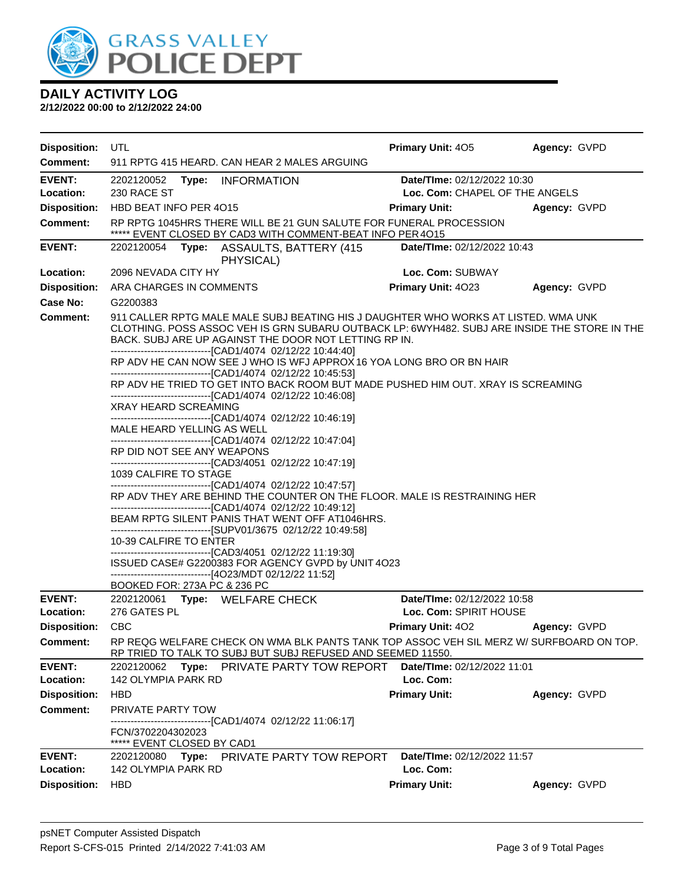

| <b>Disposition:</b> | UTL                                                                                                                                                                                                                                                                                                                                                                                                                                                                                                                                                                                                                                                                                                                                                                                                                                                                                                                                                                                                                                                                                                                                                                                                                                                                                                                                                                                                                                                                       | Primary Unit: 405              | Agency: GVPD |
|---------------------|---------------------------------------------------------------------------------------------------------------------------------------------------------------------------------------------------------------------------------------------------------------------------------------------------------------------------------------------------------------------------------------------------------------------------------------------------------------------------------------------------------------------------------------------------------------------------------------------------------------------------------------------------------------------------------------------------------------------------------------------------------------------------------------------------------------------------------------------------------------------------------------------------------------------------------------------------------------------------------------------------------------------------------------------------------------------------------------------------------------------------------------------------------------------------------------------------------------------------------------------------------------------------------------------------------------------------------------------------------------------------------------------------------------------------------------------------------------------------|--------------------------------|--------------|
| <b>Comment:</b>     | 911 RPTG 415 HEARD. CAN HEAR 2 MALES ARGUING                                                                                                                                                                                                                                                                                                                                                                                                                                                                                                                                                                                                                                                                                                                                                                                                                                                                                                                                                                                                                                                                                                                                                                                                                                                                                                                                                                                                                              |                                |              |
| <b>EVENT:</b>       | 2202120052 Type: INFORMATION                                                                                                                                                                                                                                                                                                                                                                                                                                                                                                                                                                                                                                                                                                                                                                                                                                                                                                                                                                                                                                                                                                                                                                                                                                                                                                                                                                                                                                              | Date/TIme: 02/12/2022 10:30    |              |
| Location:           | 230 RACE ST                                                                                                                                                                                                                                                                                                                                                                                                                                                                                                                                                                                                                                                                                                                                                                                                                                                                                                                                                                                                                                                                                                                                                                                                                                                                                                                                                                                                                                                               | Loc. Com: CHAPEL OF THE ANGELS |              |
| <b>Disposition:</b> | HBD BEAT INFO PER 4015                                                                                                                                                                                                                                                                                                                                                                                                                                                                                                                                                                                                                                                                                                                                                                                                                                                                                                                                                                                                                                                                                                                                                                                                                                                                                                                                                                                                                                                    | <b>Primary Unit:</b>           | Agency: GVPD |
| <b>Comment:</b>     | RP RPTG 1045HRS THERE WILL BE 21 GUN SALUTE FOR FUNERAL PROCESSION<br>***** EVENT CLOSED BY CAD3 WITH COMMENT-BEAT INFO PER 4015                                                                                                                                                                                                                                                                                                                                                                                                                                                                                                                                                                                                                                                                                                                                                                                                                                                                                                                                                                                                                                                                                                                                                                                                                                                                                                                                          |                                |              |
| <b>EVENT:</b>       | Type: ASSAULTS, BATTERY (415<br>2202120054<br>PHYSICAL)                                                                                                                                                                                                                                                                                                                                                                                                                                                                                                                                                                                                                                                                                                                                                                                                                                                                                                                                                                                                                                                                                                                                                                                                                                                                                                                                                                                                                   | Date/TIme: 02/12/2022 10:43    |              |
| Location:           | 2096 NEVADA CITY HY                                                                                                                                                                                                                                                                                                                                                                                                                                                                                                                                                                                                                                                                                                                                                                                                                                                                                                                                                                                                                                                                                                                                                                                                                                                                                                                                                                                                                                                       | Loc. Com: SUBWAY               |              |
| <b>Disposition:</b> | ARA CHARGES IN COMMENTS                                                                                                                                                                                                                                                                                                                                                                                                                                                                                                                                                                                                                                                                                                                                                                                                                                                                                                                                                                                                                                                                                                                                                                                                                                                                                                                                                                                                                                                   | Primary Unit: 4023             | Agency: GVPD |
| Case No:            | G2200383                                                                                                                                                                                                                                                                                                                                                                                                                                                                                                                                                                                                                                                                                                                                                                                                                                                                                                                                                                                                                                                                                                                                                                                                                                                                                                                                                                                                                                                                  |                                |              |
| <b>Comment:</b>     | 911 CALLER RPTG MALE MALE SUBJ BEATING HIS J DAUGHTER WHO WORKS AT LISTED. WMA UNK<br>CLOTHING. POSS ASSOC VEH IS GRN SUBARU OUTBACK LP: 6WYH482. SUBJ ARE INSIDE THE STORE IN THE<br>BACK. SUBJ ARE UP AGAINST THE DOOR NOT LETTING RP IN.<br>---------------------------------[CAD1/4074 02/12/22 10:44:40]<br>RP ADV HE CAN NOW SEE J WHO IS WFJ APPROX 16 YOA LONG BRO OR BN HAIR<br>-------------------------------[CAD1/4074 02/12/22 10:45:53]<br>RP ADV HE TRIED TO GET INTO BACK ROOM BUT MADE PUSHED HIM OUT. XRAY IS SCREAMING<br>-------------------------------[CAD1/4074 02/12/22 10:46:08]<br>XRAY HEARD SCREAMING<br>-------------------------------[CAD1/4074 02/12/22 10:46:19]<br>MALE HEARD YELLING AS WELL<br>---------------------------------[CAD1/4074 02/12/22 10:47:04]<br>RP DID NOT SEE ANY WEAPONS<br>---------------------------------[CAD3/4051_02/12/22 10:47:19]<br>1039 CALFIRE TO STAGE<br>-------------------------------[CAD1/4074 02/12/22 10:47:57]<br>RP ADV THEY ARE BEHIND THE COUNTER ON THE FLOOR. MALE IS RESTRAINING HER<br>-------------------------------[CAD1/4074_02/12/22 10:49:12]<br>BEAM RPTG SILENT PANIS THAT WENT OFF AT1046HRS.<br>-------------------------------[SUPV01/3675_02/12/22_10:49:58]<br>10-39 CALFIRE TO ENTER<br>---------------------------------[CAD3/4051 02/12/22 11:19:30]<br>ISSUED CASE# G2200383 FOR AGENCY GVPD by UNIT 4023<br>-------------------------------[4O23/MDT 02/12/22 11:52] |                                |              |
| <b>EVENT:</b>       | BOOKED FOR: 273A PC & 236 PC<br>2202120061 Type: WELFARE CHECK                                                                                                                                                                                                                                                                                                                                                                                                                                                                                                                                                                                                                                                                                                                                                                                                                                                                                                                                                                                                                                                                                                                                                                                                                                                                                                                                                                                                            | Date/TIme: 02/12/2022 10:58    |              |
| Location:           | 276 GATES PL                                                                                                                                                                                                                                                                                                                                                                                                                                                                                                                                                                                                                                                                                                                                                                                                                                                                                                                                                                                                                                                                                                                                                                                                                                                                                                                                                                                                                                                              | Loc. Com: SPIRIT HOUSE         |              |
| <b>Disposition:</b> | <b>CBC</b>                                                                                                                                                                                                                                                                                                                                                                                                                                                                                                                                                                                                                                                                                                                                                                                                                                                                                                                                                                                                                                                                                                                                                                                                                                                                                                                                                                                                                                                                | Primary Unit: 402              | Agency: GVPD |
| <b>Comment:</b>     | RP REQG WELFARE CHECK ON WMA BLK PANTS TANK TOP ASSOC VEH SIL MERZ W/ SURFBOARD ON TOP.<br>RP TRIED TO TALK TO SUBJ BUT SUBJ REFUSED AND SEEMED 11550.                                                                                                                                                                                                                                                                                                                                                                                                                                                                                                                                                                                                                                                                                                                                                                                                                                                                                                                                                                                                                                                                                                                                                                                                                                                                                                                    |                                |              |
| <b>EVENT:</b>       | 2202120062<br>PRIVATE PARTY TOW REPORT<br>Type:                                                                                                                                                                                                                                                                                                                                                                                                                                                                                                                                                                                                                                                                                                                                                                                                                                                                                                                                                                                                                                                                                                                                                                                                                                                                                                                                                                                                                           | Date/TIme: 02/12/2022 11:01    |              |
| Location:           | <b>142 OLYMPIA PARK RD</b>                                                                                                                                                                                                                                                                                                                                                                                                                                                                                                                                                                                                                                                                                                                                                                                                                                                                                                                                                                                                                                                                                                                                                                                                                                                                                                                                                                                                                                                | Loc. Com:                      |              |
| <b>Disposition:</b> | <b>HBD</b>                                                                                                                                                                                                                                                                                                                                                                                                                                                                                                                                                                                                                                                                                                                                                                                                                                                                                                                                                                                                                                                                                                                                                                                                                                                                                                                                                                                                                                                                | <b>Primary Unit:</b>           | Agency: GVPD |
| <b>Comment:</b>     | <b>PRIVATE PARTY TOW</b><br>-----------------------[CAD1/4074_02/12/22 11:06:17]                                                                                                                                                                                                                                                                                                                                                                                                                                                                                                                                                                                                                                                                                                                                                                                                                                                                                                                                                                                                                                                                                                                                                                                                                                                                                                                                                                                          |                                |              |
|                     | FCN/3702204302023<br>***** EVENT CLOSED BY CAD1                                                                                                                                                                                                                                                                                                                                                                                                                                                                                                                                                                                                                                                                                                                                                                                                                                                                                                                                                                                                                                                                                                                                                                                                                                                                                                                                                                                                                           |                                |              |
| <b>EVENT:</b>       | Type: PRIVATE PARTY TOW REPORT<br>2202120080                                                                                                                                                                                                                                                                                                                                                                                                                                                                                                                                                                                                                                                                                                                                                                                                                                                                                                                                                                                                                                                                                                                                                                                                                                                                                                                                                                                                                              | Date/TIme: 02/12/2022 11:57    |              |
| Location:           | <b>142 OLYMPIA PARK RD</b>                                                                                                                                                                                                                                                                                                                                                                                                                                                                                                                                                                                                                                                                                                                                                                                                                                                                                                                                                                                                                                                                                                                                                                                                                                                                                                                                                                                                                                                | Loc. Com:                      |              |
| <b>Disposition:</b> | <b>HBD</b>                                                                                                                                                                                                                                                                                                                                                                                                                                                                                                                                                                                                                                                                                                                                                                                                                                                                                                                                                                                                                                                                                                                                                                                                                                                                                                                                                                                                                                                                | <b>Primary Unit:</b>           | Agency: GVPD |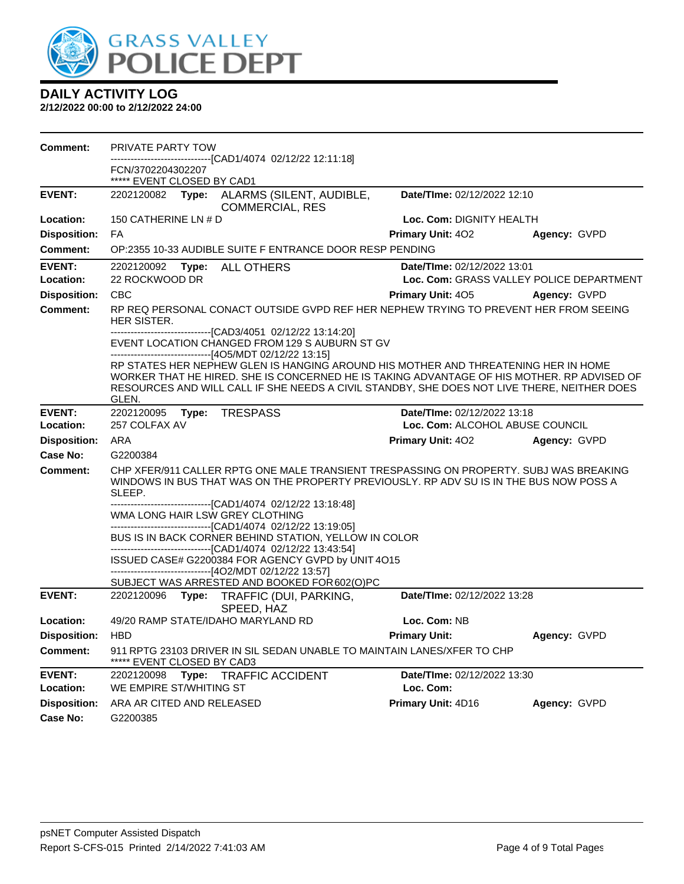

| <b>Comment:</b>            | <b>PRIVATE PARTY TOW</b>                                                                                                                                                                                                                                                                 |                                          |              |  |  |
|----------------------------|------------------------------------------------------------------------------------------------------------------------------------------------------------------------------------------------------------------------------------------------------------------------------------------|------------------------------------------|--------------|--|--|
|                            | -------------------------[CAD1/4074_02/12/22 12:11:18]<br>FCN/3702204302207<br>***** EVENT CLOSED BY CAD1                                                                                                                                                                                |                                          |              |  |  |
| <b>EVENT:</b>              | 2202120082 Type: ALARMS (SILENT, AUDIBLE,<br><b>COMMERCIAL, RES</b>                                                                                                                                                                                                                      | Date/TIme: 02/12/2022 12:10              |              |  |  |
| Location:                  | 150 CATHERINE LN # D                                                                                                                                                                                                                                                                     | Loc. Com: DIGNITY HEALTH                 |              |  |  |
| <b>Disposition:</b>        | <b>FA</b>                                                                                                                                                                                                                                                                                | Primary Unit: 402                        | Agency: GVPD |  |  |
| <b>Comment:</b>            | OP:2355 10-33 AUDIBLE SUITE F ENTRANCE DOOR RESP PENDING                                                                                                                                                                                                                                 |                                          |              |  |  |
| <b>EVENT:</b>              | 2202120092 Type: ALL OTHERS                                                                                                                                                                                                                                                              | Date/TIme: 02/12/2022 13:01              |              |  |  |
| Location:                  | 22 ROCKWOOD DR                                                                                                                                                                                                                                                                           | Loc. Com: GRASS VALLEY POLICE DEPARTMENT |              |  |  |
| <b>Disposition:</b>        | CBC                                                                                                                                                                                                                                                                                      | <b>Primary Unit: 405</b>                 | Agency: GVPD |  |  |
| <b>Comment:</b>            | RP REQ PERSONAL CONACT OUTSIDE GVPD REF HER NEPHEW TRYING TO PREVENT HER FROM SEEING<br>HER SISTER.                                                                                                                                                                                      |                                          |              |  |  |
|                            | -------------------------------[CAD3/4051 02/12/22 13:14:20]<br>EVENT LOCATION CHANGED FROM 129 S AUBURN ST GV<br>-------------------------------[4O5/MDT 02/12/22 13:15]                                                                                                                |                                          |              |  |  |
|                            | RP STATES HER NEPHEW GLEN IS HANGING AROUND HIS MOTHER AND THREATENING HER IN HOME<br>WORKER THAT HE HIRED. SHE IS CONCERNED HE IS TAKING ADVANTAGE OF HIS MOTHER. RP ADVISED OF<br>RESOURCES AND WILL CALL IF SHE NEEDS A CIVIL STANDBY, SHE DOES NOT LIVE THERE, NEITHER DOES<br>GLEN. |                                          |              |  |  |
| <b>EVENT:</b>              | 2202120095<br>Type: TRESPASS                                                                                                                                                                                                                                                             | Date/TIme: 02/12/2022 13:18              |              |  |  |
| Location:                  | 257 COLFAX AV                                                                                                                                                                                                                                                                            | Loc. Com: ALCOHOL ABUSE COUNCIL          |              |  |  |
|                            |                                                                                                                                                                                                                                                                                          |                                          |              |  |  |
| <b>Disposition:</b>        | ARA                                                                                                                                                                                                                                                                                      | <b>Primary Unit: 402</b>                 | Agency: GVPD |  |  |
| Case No:                   | G2200384                                                                                                                                                                                                                                                                                 |                                          |              |  |  |
| Comment:                   | CHP XFER/911 CALLER RPTG ONE MALE TRANSIENT TRESPASSING ON PROPERTY. SUBJ WAS BREAKING<br>WINDOWS IN BUS THAT WAS ON THE PROPERTY PREVIOUSLY. RP ADV SUIS IN THE BUS NOW POSS A<br>SLEEP.                                                                                                |                                          |              |  |  |
|                            | --------------------------------[CAD1/4074_02/12/22 13:18:48]<br>WMA LONG HAIR LSW GREY CLOTHING                                                                                                                                                                                         |                                          |              |  |  |
|                            | ------------------------------[CAD1/4074_02/12/22 13:19:05]                                                                                                                                                                                                                              |                                          |              |  |  |
|                            | BUS IS IN BACK CORNER BEHIND STATION, YELLOW IN COLOR<br>------------------------[CAD1/4074 02/12/22 13:43:54]                                                                                                                                                                           |                                          |              |  |  |
|                            | ISSUED CASE# G2200384 FOR AGENCY GVPD by UNIT 4O15                                                                                                                                                                                                                                       |                                          |              |  |  |
|                            | ------------------------------[4O2/MDT 02/12/22 13:57]<br>SUBJECT WAS ARRESTED AND BOOKED FOR 602(O)PC                                                                                                                                                                                   |                                          |              |  |  |
| <b>EVENT:</b>              | Type: TRAFFIC (DUI, PARKING,<br>2202120096<br>SPEED, HAZ                                                                                                                                                                                                                                 | Date/TIme: 02/12/2022 13:28              |              |  |  |
| Location:                  | 49/20 RAMP STATE/IDAHO MARYLAND RD                                                                                                                                                                                                                                                       | Loc. Com: NB                             |              |  |  |
| <b>Disposition:</b>        | HBD                                                                                                                                                                                                                                                                                      | <b>Primary Unit:</b>                     | Agency: GVPD |  |  |
| Comment:                   | 911 RPTG 23103 DRIVER IN SIL SEDAN UNABLE TO MAINTAIN LANES/XFER TO CHP<br>EVENT CLOSED BY CAD3                                                                                                                                                                                          |                                          |              |  |  |
| <b>EVENT:</b><br>Location: | 2202120098 Type: TRAFFIC ACCIDENT<br>WE EMPIRE ST/WHITING ST                                                                                                                                                                                                                             | Date/TIme: 02/12/2022 13:30<br>Loc. Com: |              |  |  |
| <b>Disposition:</b>        | ARA AR CITED AND RELEASED                                                                                                                                                                                                                                                                | Primary Unit: 4D16                       | Agency: GVPD |  |  |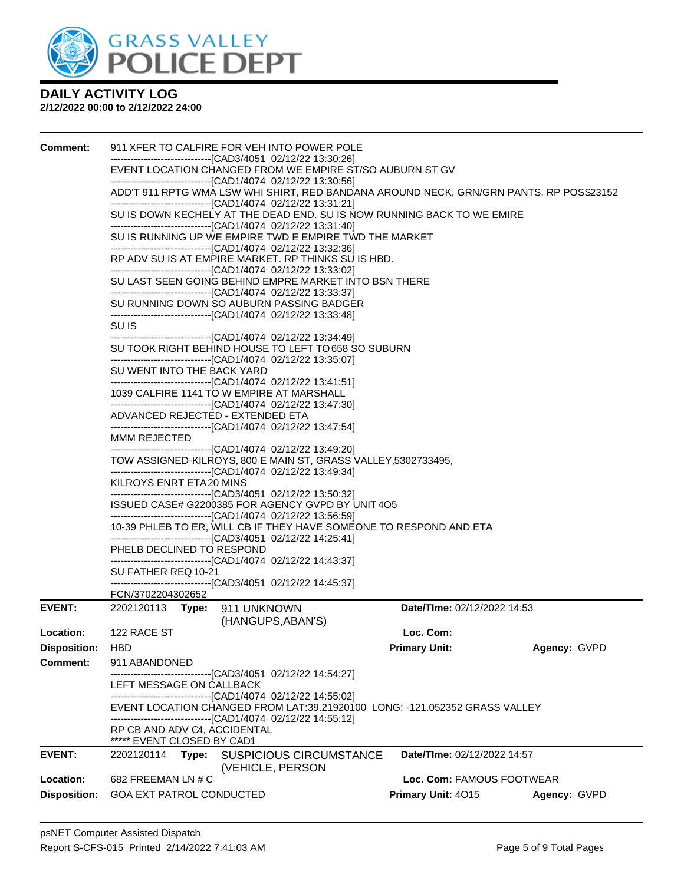

| <b>Comment:</b>     |                                                                                                                                                                                                                                                                                                                                                                                                                                                                                                                                                                                                                                                         |  | 911 XFER TO CALFIRE FOR VEH INTO POWER POLE                                                                                |                             |              |  |                     |
|---------------------|---------------------------------------------------------------------------------------------------------------------------------------------------------------------------------------------------------------------------------------------------------------------------------------------------------------------------------------------------------------------------------------------------------------------------------------------------------------------------------------------------------------------------------------------------------------------------------------------------------------------------------------------------------|--|----------------------------------------------------------------------------------------------------------------------------|-----------------------------|--------------|--|---------------------|
|                     |                                                                                                                                                                                                                                                                                                                                                                                                                                                                                                                                                                                                                                                         |  | ---------------------------------[CAD3/4051 02/12/22 13:30:26]                                                             |                             |              |  |                     |
|                     |                                                                                                                                                                                                                                                                                                                                                                                                                                                                                                                                                                                                                                                         |  | EVENT LOCATION CHANGED FROM WE EMPIRE ST/SO AUBURN ST GV<br>---------------------------------[CAD1/4074 02/12/22 13:30:56] |                             |              |  |                     |
|                     |                                                                                                                                                                                                                                                                                                                                                                                                                                                                                                                                                                                                                                                         |  | ADD'T 911 RPTG WMA LSW WHI SHIRT, RED BANDANA AROUND NECK, GRN/GRN PANTS. RP POSS23152                                     |                             |              |  |                     |
|                     | -------------------------------[CAD1/4074_02/12/22 13:31:21]<br>SU IS DOWN KECHELY AT THE DEAD END. SU IS NOW RUNNING BACK TO WE EMIRE<br>---------------------------------[CAD1/4074 02/12/22 13:31:40]<br>SU IS RUNNING UP WE EMPIRE TWD E EMPIRE TWD THE MARKET<br>---------------------------------[CAD1/4074 02/12/22 13:32:36]<br>RP ADV SU IS AT EMPIRE MARKET. RP THINKS SU IS HBD.                                                                                                                                                                                                                                                             |  |                                                                                                                            |                             |              |  |                     |
|                     |                                                                                                                                                                                                                                                                                                                                                                                                                                                                                                                                                                                                                                                         |  |                                                                                                                            |                             |              |  |                     |
|                     |                                                                                                                                                                                                                                                                                                                                                                                                                                                                                                                                                                                                                                                         |  |                                                                                                                            |                             |              |  |                     |
|                     |                                                                                                                                                                                                                                                                                                                                                                                                                                                                                                                                                                                                                                                         |  |                                                                                                                            |                             |              |  |                     |
|                     |                                                                                                                                                                                                                                                                                                                                                                                                                                                                                                                                                                                                                                                         |  | ---------------------------------[CAD1/4074 02/12/22 13:33:02]                                                             |                             |              |  |                     |
|                     |                                                                                                                                                                                                                                                                                                                                                                                                                                                                                                                                                                                                                                                         |  | SU LAST SEEN GOING BEHIND EMPRE MARKET INTO BSN THERE<br>---------------------------------[CAD1/4074 02/12/22 13:33:37]    |                             |              |  |                     |
|                     |                                                                                                                                                                                                                                                                                                                                                                                                                                                                                                                                                                                                                                                         |  | SU RUNNING DOWN SO AUBURN PASSING BADGER                                                                                   |                             |              |  |                     |
|                     | SU IS.                                                                                                                                                                                                                                                                                                                                                                                                                                                                                                                                                                                                                                                  |  | -------------------------------[CAD1/4074_02/12/22 13:33:48]                                                               |                             |              |  |                     |
|                     |                                                                                                                                                                                                                                                                                                                                                                                                                                                                                                                                                                                                                                                         |  | ------------------------------[CAD1/4074 02/12/22 13:34:49]                                                                |                             |              |  |                     |
|                     |                                                                                                                                                                                                                                                                                                                                                                                                                                                                                                                                                                                                                                                         |  | SU TOOK RIGHT BEHIND HOUSE TO LEFT TO 658 SO SUBURN<br>---------------------------------[CAD1/4074 02/12/22 13:35:07]      |                             |              |  |                     |
|                     | SU WENT INTO THE BACK YARD                                                                                                                                                                                                                                                                                                                                                                                                                                                                                                                                                                                                                              |  |                                                                                                                            |                             |              |  |                     |
|                     |                                                                                                                                                                                                                                                                                                                                                                                                                                                                                                                                                                                                                                                         |  | ---------------------------------[CAD1/4074 02/12/22 13:41:51]                                                             |                             |              |  |                     |
|                     |                                                                                                                                                                                                                                                                                                                                                                                                                                                                                                                                                                                                                                                         |  | 1039 CALFIRE 1141 TO W EMPIRE AT MARSHALL                                                                                  |                             |              |  |                     |
|                     | ---------------------------------[CAD1/4074 02/12/22 13:47:30]<br>ADVANCED REJECTED - EXTENDED ETA                                                                                                                                                                                                                                                                                                                                                                                                                                                                                                                                                      |  |                                                                                                                            |                             |              |  |                     |
|                     | ---------------------------------[CAD1/4074 02/12/22 13:47:54]<br>MMM REJECTED                                                                                                                                                                                                                                                                                                                                                                                                                                                                                                                                                                          |  |                                                                                                                            |                             |              |  |                     |
|                     | ------------------------------[CAD1/4074 02/12/22 13:49:20]<br>TOW ASSIGNED-KILROYS, 800 E MAIN ST, GRASS VALLEY, 5302733495,<br>---------------------------------[CAD1/4074 02/12/22 13:49:34]<br>KILROYS ENRT ETA20 MINS<br>----------------------------------[CAD3/4051 02/12/22 13:50:32]<br>ISSUED CASE# G2200385 FOR AGENCY GVPD BY UNIT 4O5<br>-------------------------------[CAD1/4074_02/12/22 13:56:59]<br>10-39 PHLEB TO ER, WILL CB IF THEY HAVE SOMEONE TO RESPOND AND ETA<br>--------------------------------[CAD3/4051 02/12/22 14:25:41]<br>PHELB DECLINED TO RESPOND<br>--------------------------------[CAD1/4074 02/12/22 14:43:37] |  |                                                                                                                            |                             |              |  |                     |
|                     |                                                                                                                                                                                                                                                                                                                                                                                                                                                                                                                                                                                                                                                         |  |                                                                                                                            |                             |              |  |                     |
|                     |                                                                                                                                                                                                                                                                                                                                                                                                                                                                                                                                                                                                                                                         |  |                                                                                                                            |                             |              |  |                     |
|                     |                                                                                                                                                                                                                                                                                                                                                                                                                                                                                                                                                                                                                                                         |  |                                                                                                                            |                             |              |  |                     |
|                     |                                                                                                                                                                                                                                                                                                                                                                                                                                                                                                                                                                                                                                                         |  |                                                                                                                            |                             |              |  |                     |
|                     |                                                                                                                                                                                                                                                                                                                                                                                                                                                                                                                                                                                                                                                         |  |                                                                                                                            |                             |              |  | SU FATHER REQ 10-21 |
|                     | FCN/3702204302652                                                                                                                                                                                                                                                                                                                                                                                                                                                                                                                                                                                                                                       |  |                                                                                                                            |                             |              |  |                     |
| <b>EVENT:</b>       | 2202120113                                                                                                                                                                                                                                                                                                                                                                                                                                                                                                                                                                                                                                              |  | Type: 911 UNKNOWN<br>(HANGUPS, ABAN'S)                                                                                     | Date/TIme: 02/12/2022 14:53 |              |  |                     |
| Location:           | 122 RACE ST                                                                                                                                                                                                                                                                                                                                                                                                                                                                                                                                                                                                                                             |  |                                                                                                                            | Loc. Com:                   |              |  |                     |
| <b>Disposition:</b> | <b>HBD</b>                                                                                                                                                                                                                                                                                                                                                                                                                                                                                                                                                                                                                                              |  |                                                                                                                            | <b>Primary Unit:</b>        | Agency: GVPD |  |                     |
| <b>Comment:</b>     | 911 ABANDONED                                                                                                                                                                                                                                                                                                                                                                                                                                                                                                                                                                                                                                           |  |                                                                                                                            |                             |              |  |                     |
|                     | -------------------------[CAD3/4051_02/12/22 14:54:27]<br>LEFT MESSAGE ON CALLBACK                                                                                                                                                                                                                                                                                                                                                                                                                                                                                                                                                                      |  |                                                                                                                            |                             |              |  |                     |
|                     | -------------------------------[CAD1/4074 02/12/22 14:55:02]<br>EVENT LOCATION CHANGED FROM LAT:39.21920100 LONG: -121.052352 GRASS VALLEY                                                                                                                                                                                                                                                                                                                                                                                                                                                                                                              |  |                                                                                                                            |                             |              |  |                     |
|                     | -------------------------------[CAD1/4074 02/12/22 14:55:12]                                                                                                                                                                                                                                                                                                                                                                                                                                                                                                                                                                                            |  |                                                                                                                            |                             |              |  |                     |
|                     | RP CB AND ADV C4, ACCIDENTAL<br>***** EVENT CLOSED BY CAD1                                                                                                                                                                                                                                                                                                                                                                                                                                                                                                                                                                                              |  |                                                                                                                            |                             |              |  |                     |
| <b>EVENT:</b>       | 2202120114 <b>Type:</b>                                                                                                                                                                                                                                                                                                                                                                                                                                                                                                                                                                                                                                 |  | <b>SUSPICIOUS CIRCUMSTANCE</b>                                                                                             | Date/TIme: 02/12/2022 14:57 |              |  |                     |
|                     |                                                                                                                                                                                                                                                                                                                                                                                                                                                                                                                                                                                                                                                         |  | (VEHICLE, PERSON                                                                                                           |                             |              |  |                     |
| Location:           | 682 FREEMAN LN # C                                                                                                                                                                                                                                                                                                                                                                                                                                                                                                                                                                                                                                      |  |                                                                                                                            | Loc. Com: FAMOUS FOOTWEAR   |              |  |                     |
| <b>Disposition:</b> | GOA EXT PATROL CONDUCTED                                                                                                                                                                                                                                                                                                                                                                                                                                                                                                                                                                                                                                |  |                                                                                                                            | <b>Primary Unit: 4015</b>   | Agency: GVPD |  |                     |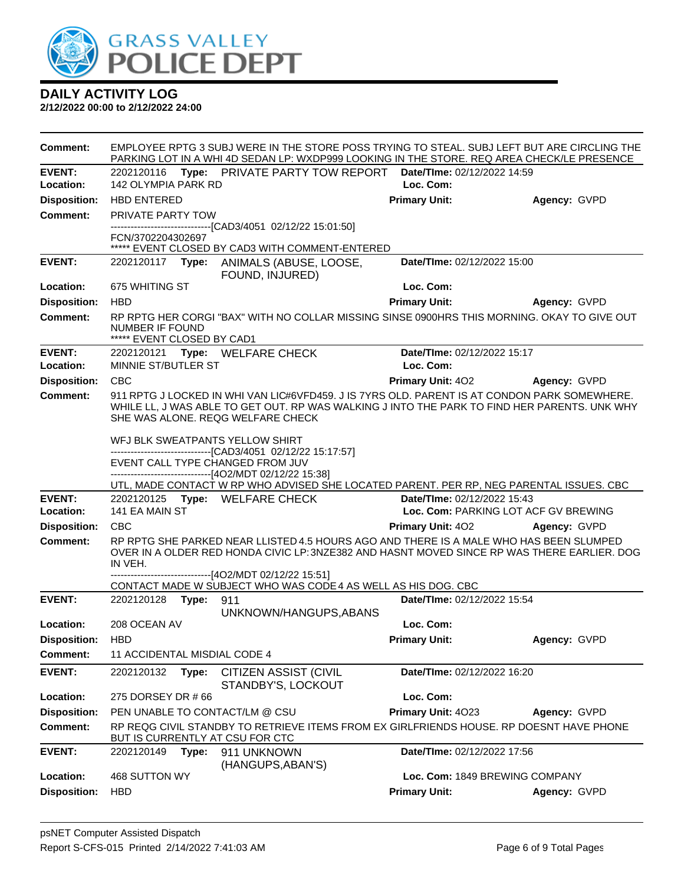

| <b>Comment:</b>         | EMPLOYEE RPTG 3 SUBJ WERE IN THE STORE POSS TRYING TO STEAL. SUBJ LEFT BUT ARE CIRCLING THE<br>PARKING LOT IN A WHI 4D SEDAN LP: WXDP999 LOOKING IN THE STORE. REQ AREA CHECK/LE PRESENCE |       |                                                                                                                                                                                                                                   |                                      |              |
|-------------------------|-------------------------------------------------------------------------------------------------------------------------------------------------------------------------------------------|-------|-----------------------------------------------------------------------------------------------------------------------------------------------------------------------------------------------------------------------------------|--------------------------------------|--------------|
| <b>EVENT:</b>           |                                                                                                                                                                                           |       | 2202120116 Type: PRIVATE PARTY TOW REPORT Date/Time: 02/12/2022 14:59                                                                                                                                                             |                                      |              |
| Location:               | <b>142 OLYMPIA PARK RD</b>                                                                                                                                                                |       |                                                                                                                                                                                                                                   | Loc. Com:                            |              |
| <b>Disposition:</b>     | <b>HBD ENTERED</b>                                                                                                                                                                        |       |                                                                                                                                                                                                                                   | <b>Primary Unit:</b>                 | Agency: GVPD |
| <b>Comment:</b>         | PRIVATE PARTY TOW                                                                                                                                                                         |       | --------------------------------[CAD3/4051 02/12/22 15:01:50]                                                                                                                                                                     |                                      |              |
|                         | FCN/3702204302697                                                                                                                                                                         |       |                                                                                                                                                                                                                                   |                                      |              |
|                         |                                                                                                                                                                                           |       | ***** EVENT CLOSED BY CAD3 WITH COMMENT-ENTERED                                                                                                                                                                                   |                                      |              |
| <b>EVENT:</b>           |                                                                                                                                                                                           |       | 2202120117 Type: ANIMALS (ABUSE, LOOSE,<br>FOUND, INJURED)                                                                                                                                                                        | Date/TIme: 02/12/2022 15:00          |              |
| Location:               | 675 WHITING ST                                                                                                                                                                            |       |                                                                                                                                                                                                                                   | Loc. Com:                            |              |
| <b>Disposition:</b>     | <b>HBD</b>                                                                                                                                                                                |       |                                                                                                                                                                                                                                   | <b>Primary Unit:</b>                 | Agency: GVPD |
| <b>Comment:</b>         | <b>NUMBER IF FOUND</b><br>***** EVENT CLOSED BY CAD1                                                                                                                                      |       | RP RPTG HER CORGI "BAX" WITH NO COLLAR MISSING SINSE 0900HRS THIS MORNING. OKAY TO GIVE OUT                                                                                                                                       |                                      |              |
| <b>EVENT:</b>           |                                                                                                                                                                                           |       | 2202120121 Type: WELFARE CHECK                                                                                                                                                                                                    | Date/TIme: 02/12/2022 15:17          |              |
| Location:               | MINNIE ST/BUTLER ST                                                                                                                                                                       |       |                                                                                                                                                                                                                                   | Loc. Com:                            |              |
| <b>Disposition:</b>     | <b>CBC</b>                                                                                                                                                                                |       |                                                                                                                                                                                                                                   | <b>Primary Unit: 402</b>             | Agency: GVPD |
| Comment:                |                                                                                                                                                                                           |       | 911 RPTG J LOCKED IN WHI VAN LIC#6VFD459. J IS 7YRS OLD. PARENT IS AT CONDON PARK SOMEWHERE.<br>WHILE LL, J WAS ABLE TO GET OUT. RP WAS WALKING J INTO THE PARK TO FIND HER PARENTS. UNK WHY<br>SHE WAS ALONE. REQG WELFARE CHECK |                                      |              |
|                         |                                                                                                                                                                                           |       | WFJ BLK SWEATPANTS YELLOW SHIRT<br>-------------------------------[CAD3/4051 02/12/22 15:17:57]                                                                                                                                   |                                      |              |
|                         |                                                                                                                                                                                           |       | EVENT CALL TYPE CHANGED FROM JUV                                                                                                                                                                                                  |                                      |              |
|                         |                                                                                                                                                                                           |       | -------------------------------[4O2/MDT 02/12/22 15:38]                                                                                                                                                                           |                                      |              |
| <b>EVENT:</b>           |                                                                                                                                                                                           |       | UTL, MADE CONTACT W RP WHO ADVISED SHE LOCATED PARENT. PER RP, NEG PARENTAL ISSUES. CBC.                                                                                                                                          | Date/TIme: 02/12/2022 15:43          |              |
| Location:               | 141 EA MAIN ST                                                                                                                                                                            |       | 2202120125 Type: WELFARE CHECK                                                                                                                                                                                                    | Loc. Com: PARKING LOT ACF GV BREWING |              |
| <b>Disposition:</b>     | <b>CBC</b>                                                                                                                                                                                |       |                                                                                                                                                                                                                                   | <b>Primary Unit: 402</b>             | Agency: GVPD |
| <b>Comment:</b>         |                                                                                                                                                                                           |       | RP RPTG SHE PARKED NEAR LLISTED 4.5 HOURS AGO AND THERE IS A MALE WHO HAS BEEN SLUMPED<br>OVER IN A OLDER RED HONDA CIVIC LP: 3NZE382 AND HASNT MOVED SINCE RP WAS THERE EARLIER. DOG                                             |                                      |              |
|                         | IN VEH.                                                                                                                                                                                   |       | -------------------------------[4O2/MDT 02/12/22 15:51]                                                                                                                                                                           |                                      |              |
|                         |                                                                                                                                                                                           |       | CONTACT MADE W SUBJECT WHO WAS CODE 4 AS WELL AS HIS DOG. CBC                                                                                                                                                                     |                                      |              |
| <b>EVENT:</b>           | 2202120128 Type:                                                                                                                                                                          |       | 911<br>UNKNOWN/HANGUPS, ABANS                                                                                                                                                                                                     | Date/TIme: 02/12/2022 15:54          |              |
| Location:               | 208 OCEAN AV                                                                                                                                                                              |       |                                                                                                                                                                                                                                   | Loc. Com:                            |              |
| <b>Disposition: HBD</b> |                                                                                                                                                                                           |       |                                                                                                                                                                                                                                   | <b>Primary Unit:</b>                 | Agency: GVPD |
| <b>Comment:</b>         | 11 ACCIDENTAL MISDIAL CODE 4                                                                                                                                                              |       |                                                                                                                                                                                                                                   |                                      |              |
| <b>EVENT:</b>           | 2202120132                                                                                                                                                                                | Type: | <b>CITIZEN ASSIST (CIVIL</b><br>STANDBY'S, LOCKOUT                                                                                                                                                                                | Date/TIme: 02/12/2022 16:20          |              |
| Location:               | 275 DORSEY DR #66                                                                                                                                                                         |       |                                                                                                                                                                                                                                   | Loc. Com:                            |              |
| <b>Disposition:</b>     |                                                                                                                                                                                           |       | PEN UNABLE TO CONTACT/LM @ CSU                                                                                                                                                                                                    | Primary Unit: 4023                   | Agency: GVPD |
| <b>Comment:</b>         |                                                                                                                                                                                           |       | RP REQG CIVIL STANDBY TO RETRIEVE ITEMS FROM EX GIRLFRIENDS HOUSE. RP DOESNT HAVE PHONE<br>BUT IS CURRENTLY AT CSU FOR CTC                                                                                                        |                                      |              |
| <b>EVENT:</b>           | 2202120149                                                                                                                                                                                | Type: | 911 UNKNOWN<br>(HANGUPS, ABAN'S)                                                                                                                                                                                                  | Date/TIme: 02/12/2022 17:56          |              |
| Location:               | 468 SUTTON WY                                                                                                                                                                             |       |                                                                                                                                                                                                                                   | Loc. Com: 1849 BREWING COMPANY       |              |
| <b>Disposition:</b>     | <b>HBD</b>                                                                                                                                                                                |       |                                                                                                                                                                                                                                   | <b>Primary Unit:</b>                 | Agency: GVPD |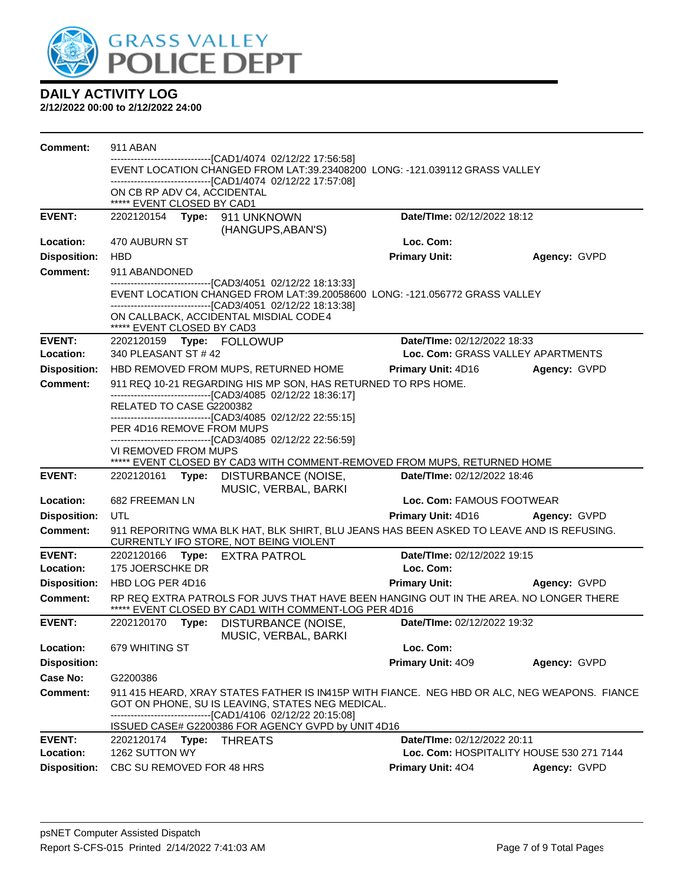

| <b>Comment:</b>            | 911 ABAN                                                  |                                                                                                                                                                                                                  |                             |                                          |
|----------------------------|-----------------------------------------------------------|------------------------------------------------------------------------------------------------------------------------------------------------------------------------------------------------------------------|-----------------------------|------------------------------------------|
|                            |                                                           | -------------------------------[CAD1/4074 02/12/22 17:56:58]<br>EVENT LOCATION CHANGED FROM LAT:39.23408200 LONG: -121.039112 GRASS VALLEY                                                                       |                             |                                          |
|                            |                                                           | -------------------------------[CAD1/4074_02/12/22 17:57:08]                                                                                                                                                     |                             |                                          |
|                            | ON CB RP ADV C4, ACCIDENTAL<br>***** EVENT CLOSED BY CAD1 |                                                                                                                                                                                                                  |                             |                                          |
| <b>EVENT:</b>              | 2202120154                                                | Type: 911 UNKNOWN                                                                                                                                                                                                | Date/TIme: 02/12/2022 18:12 |                                          |
|                            |                                                           | (HANGUPS, ABAN'S)                                                                                                                                                                                                |                             |                                          |
| Location:                  | 470 AUBURN ST                                             |                                                                                                                                                                                                                  | Loc. Com:                   |                                          |
| <b>Disposition:</b>        | HBD                                                       |                                                                                                                                                                                                                  | <b>Primary Unit:</b>        | Agency: GVPD                             |
| <b>Comment:</b>            | 911 ABANDONED                                             | ----------------------------------[CAD3/4051 02/12/22 18:13:33]                                                                                                                                                  |                             |                                          |
|                            |                                                           | EVENT LOCATION CHANGED FROM LAT:39.20058600 LONG: -121.056772 GRASS VALLEY<br>--------------------------------[CAD3/4051 02/12/22 18:13:38]                                                                      |                             |                                          |
|                            | ***** EVENT CLOSED BY CAD3                                | ON CALLBACK, ACCIDENTAL MISDIAL CODE4                                                                                                                                                                            |                             |                                          |
| <b>EVENT:</b><br>Location: | 340 PLEASANT ST #42                                       |                                                                                                                                                                                                                  | Date/TIme: 02/12/2022 18:33 | Loc. Com: GRASS VALLEY APARTMENTS        |
| <b>Disposition:</b>        |                                                           | HBD REMOVED FROM MUPS, RETURNED HOME                                                                                                                                                                             |                             | Agency: GVPD                             |
| <b>Comment:</b>            |                                                           | 911 REQ 10-21 REGARDING HIS MP SON, HAS RETURNED TO RPS HOME.                                                                                                                                                    | <b>Primary Unit: 4D16</b>   |                                          |
|                            |                                                           | ------------------------------[CAD3/4085 02/12/22 18:36:17]                                                                                                                                                      |                             |                                          |
|                            | RELATED TO CASE G2200382                                  |                                                                                                                                                                                                                  |                             |                                          |
|                            | PER 4D16 REMOVE FROM MUPS                                 | ----------------------------------[CAD3/4085 02/12/22 22:55:15]                                                                                                                                                  |                             |                                          |
|                            |                                                           | --------------------------------[CAD3/4085 02/12/22 22:56:59]                                                                                                                                                    |                             |                                          |
|                            | VI REMOVED FROM MUPS                                      | ***** EVENT CLOSED BY CAD3 WITH COMMENT-REMOVED FROM MUPS, RETURNED HOME                                                                                                                                         |                             |                                          |
| <b>EVENT:</b>              |                                                           | 2202120161 Type: DISTURBANCE (NOISE,                                                                                                                                                                             | Date/TIme: 02/12/2022 18:46 |                                          |
|                            |                                                           | MUSIC, VERBAL, BARKI                                                                                                                                                                                             |                             |                                          |
| Location:                  | 682 FREEMAN LN                                            |                                                                                                                                                                                                                  | Loc. Com: FAMOUS FOOTWEAR   |                                          |
| <b>Disposition:</b>        | UTL                                                       |                                                                                                                                                                                                                  | Primary Unit: 4D16          | Agency: GVPD                             |
| Comment:                   |                                                           | 911 REPORITNG WMA BLK HAT, BLK SHIRT, BLU JEANS HAS BEEN ASKED TO LEAVE AND IS REFUSING.<br>CURRENTLY IFO STORE, NOT BEING VIOLENT                                                                               |                             |                                          |
| <b>EVENT:</b>              |                                                           | 2202120166 Type: EXTRA PATROL                                                                                                                                                                                    | Date/TIme: 02/12/2022 19:15 |                                          |
| Location:                  | 175 JOERSCHKE DR                                          |                                                                                                                                                                                                                  | Loc. Com:                   |                                          |
| <b>Disposition:</b>        | HBD LOG PER 4D16                                          | RP REQ EXTRA PATROLS FOR JUVS THAT HAVE BEEN HANGING OUT IN THE AREA. NO LONGER THERE                                                                                                                            | <b>Primary Unit:</b>        | Agency: GVPD                             |
| Comment:                   |                                                           | ***** EVENT CLOSED BY CAD1 WITH COMMENT-LOG PER 4D16                                                                                                                                                             |                             |                                          |
| <b>EVENT:</b>              | 2202120170 Type:                                          | DISTURBANCE (NOISE,<br>MUSIC, VERBAL, BARKI                                                                                                                                                                      | Date/TIme: 02/12/2022 19:32 |                                          |
| Location:                  | 679 WHITING ST                                            |                                                                                                                                                                                                                  | Loc. Com:                   |                                          |
| <b>Disposition:</b>        |                                                           |                                                                                                                                                                                                                  | Primary Unit: 409           | Agency: GVPD                             |
| <b>Case No:</b>            | G2200386                                                  |                                                                                                                                                                                                                  |                             |                                          |
| Comment:                   |                                                           | 911 415 HEARD, XRAY STATES FATHER IS IN415P WITH FIANCE. NEG HBD OR ALC, NEG WEAPONS. FIANCE<br>GOT ON PHONE, SU IS LEAVING, STATES NEG MEDICAL.<br>-------------------------------[CAD1/4106 02/12/22 20:15:08] |                             |                                          |
|                            |                                                           | ISSUED CASE# G2200386 FOR AGENCY GVPD by UNIT 4D16                                                                                                                                                               |                             |                                          |
| <b>EVENT:</b>              | 2202120174 Type:                                          | <b>THREATS</b>                                                                                                                                                                                                   | Date/TIme: 02/12/2022 20:11 |                                          |
| Location:                  | 1262 SUTTON WY                                            |                                                                                                                                                                                                                  |                             | Loc. Com: HOSPITALITY HOUSE 530 271 7144 |
| <b>Disposition:</b>        | CBC SU REMOVED FOR 48 HRS                                 |                                                                                                                                                                                                                  | <b>Primary Unit: 404</b>    | Agency: GVPD                             |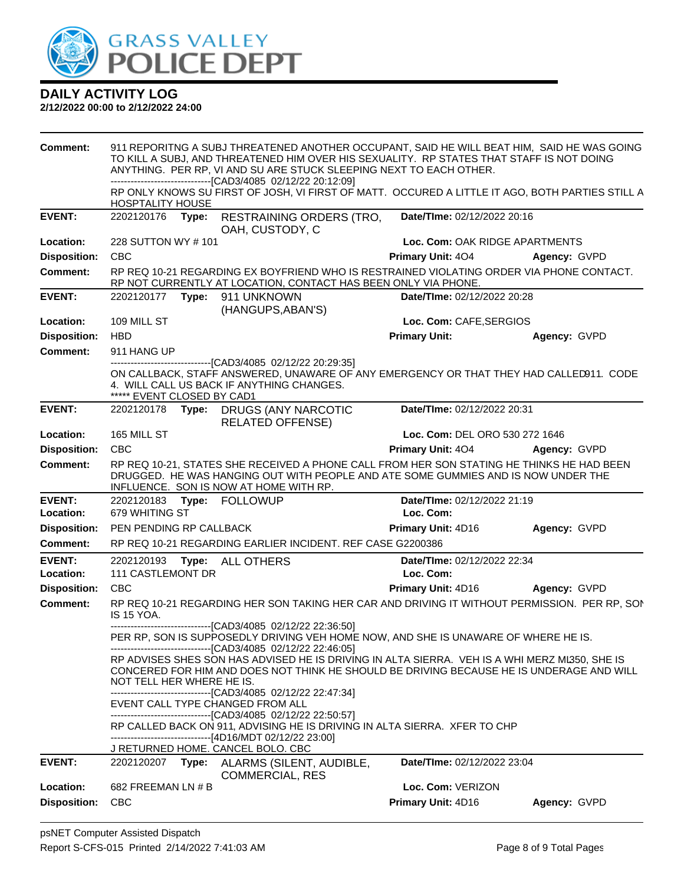

| Comment:            | 911 REPORITNG A SUBJ THREATENED ANOTHER OCCUPANT, SAID HE WILL BEAT HIM, SAID HE WAS GOING<br>TO KILL A SUBJ, AND THREATENED HIM OVER HIS SEXUALITY. RP STATES THAT STAFF IS NOT DOING<br>ANYTHING. PER RP, VI AND SU ARE STUCK SLEEPING NEXT TO EACH OTHER.<br>--------------------------------[CAD3/4085 02/12/22 20:12:09] |  |                                                                                                                                                                                                                                                           |                                |                     |
|---------------------|-------------------------------------------------------------------------------------------------------------------------------------------------------------------------------------------------------------------------------------------------------------------------------------------------------------------------------|--|-----------------------------------------------------------------------------------------------------------------------------------------------------------------------------------------------------------------------------------------------------------|--------------------------------|---------------------|
|                     | <b>HOSPTALITY HOUSE</b>                                                                                                                                                                                                                                                                                                       |  | RP ONLY KNOWS SU FIRST OF JOSH, VI FIRST OF MATT. OCCURED A LITTLE IT AGO, BOTH PARTIES STILL A                                                                                                                                                           |                                |                     |
| <b>EVENT:</b>       | 2202120176 Type:                                                                                                                                                                                                                                                                                                              |  | RESTRAINING ORDERS (TRO,<br>OAH, CUSTODY, C                                                                                                                                                                                                               | Date/TIme: 02/12/2022 20:16    |                     |
| Location:           | 228 SUTTON WY # 101                                                                                                                                                                                                                                                                                                           |  |                                                                                                                                                                                                                                                           | Loc. Com: OAK RIDGE APARTMENTS |                     |
| <b>Disposition:</b> | <b>CBC</b>                                                                                                                                                                                                                                                                                                                    |  |                                                                                                                                                                                                                                                           | <b>Primary Unit: 404</b>       | Agency: GVPD        |
| Comment:            |                                                                                                                                                                                                                                                                                                                               |  | RP REQ 10-21 REGARDING EX BOYFRIEND WHO IS RESTRAINED VIOLATING ORDER VIA PHONE CONTACT.<br>RP NOT CURRENTLY AT LOCATION, CONTACT HAS BEEN ONLY VIA PHONE.                                                                                                |                                |                     |
| <b>EVENT:</b>       |                                                                                                                                                                                                                                                                                                                               |  | 2202120177 Type: 911 UNKNOWN<br>(HANGUPS, ABAN'S)                                                                                                                                                                                                         | Date/TIme: 02/12/2022 20:28    |                     |
| Location:           | 109 MILL ST                                                                                                                                                                                                                                                                                                                   |  |                                                                                                                                                                                                                                                           | Loc. Com: CAFE, SERGIOS        |                     |
| <b>Disposition:</b> | <b>HBD</b>                                                                                                                                                                                                                                                                                                                    |  |                                                                                                                                                                                                                                                           | <b>Primary Unit:</b>           | Agency: GVPD        |
| <b>Comment:</b>     | 911 HANG UP                                                                                                                                                                                                                                                                                                                   |  |                                                                                                                                                                                                                                                           |                                |                     |
|                     | ***** EVENT CLOSED BY CAD1                                                                                                                                                                                                                                                                                                    |  | -------------------------------[CAD3/4085 02/12/22 20:29:35]<br>ON CALLBACK, STAFF ANSWERED, UNAWARE OF ANY EMERGENCY OR THAT THEY HAD CALLED911. CODE<br>4. WILL CALL US BACK IF ANYTHING CHANGES.                                                       |                                |                     |
| <b>EVENT:</b>       |                                                                                                                                                                                                                                                                                                                               |  | 2202120178 Type: DRUGS (ANY NARCOTIC<br><b>RELATED OFFENSE)</b>                                                                                                                                                                                           | Date/TIme: 02/12/2022 20:31    |                     |
| Location:           | 165 MILL ST                                                                                                                                                                                                                                                                                                                   |  |                                                                                                                                                                                                                                                           | Loc. Com: DEL ORO 530 272 1646 |                     |
| <b>Disposition:</b> | <b>CBC</b>                                                                                                                                                                                                                                                                                                                    |  |                                                                                                                                                                                                                                                           | <b>Primary Unit: 404</b>       | Agency: GVPD        |
| Comment:            |                                                                                                                                                                                                                                                                                                                               |  | RP REQ 10-21, STATES SHE RECEIVED A PHONE CALL FROM HER SON STATING HE THINKS HE HAD BEEN<br>DRUGGED. HE WAS HANGING OUT WITH PEOPLE AND ATE SOME GUMMIES AND IS NOW UNDER THE<br>INFLUENCE. SON IS NOW AT HOME WITH RP.                                  |                                |                     |
| <b>EVENT:</b>       |                                                                                                                                                                                                                                                                                                                               |  |                                                                                                                                                                                                                                                           | Date/TIme: 02/12/2022 21:19    |                     |
| Location:           | 679 WHITING ST                                                                                                                                                                                                                                                                                                                |  |                                                                                                                                                                                                                                                           | Loc. Com:                      |                     |
| <b>Disposition:</b> | PEN PENDING RP CALLBACK                                                                                                                                                                                                                                                                                                       |  |                                                                                                                                                                                                                                                           | <b>Primary Unit: 4D16</b>      | Agency: GVPD        |
| <b>Comment:</b>     |                                                                                                                                                                                                                                                                                                                               |  | RP REQ 10-21 REGARDING EARLIER INCIDENT. REF CASE G2200386                                                                                                                                                                                                |                                |                     |
| <b>EVENT:</b>       | 2202120193                                                                                                                                                                                                                                                                                                                    |  | Type: ALL OTHERS                                                                                                                                                                                                                                          | Date/TIme: 02/12/2022 22:34    |                     |
| Location:           | 111 CASTLEMONT DR                                                                                                                                                                                                                                                                                                             |  |                                                                                                                                                                                                                                                           | Loc. Com:                      |                     |
| <b>Disposition:</b> | <b>CBC</b>                                                                                                                                                                                                                                                                                                                    |  |                                                                                                                                                                                                                                                           | <b>Primary Unit: 4D16</b>      | <b>Agency: GVPD</b> |
| Comment:            | IS 15 YOA.                                                                                                                                                                                                                                                                                                                    |  | RP REQ 10-21 REGARDING HER SON TAKING HER CAR AND DRIVING IT WITHOUT PERMISSION. PER RP, SON                                                                                                                                                              |                                |                     |
|                     |                                                                                                                                                                                                                                                                                                                               |  | -------------------------------[CAD3/4085 02/12/22 22:36:50]<br>PER RP, SON IS SUPPOSEDLY DRIVING VEH HOME NOW, AND SHE IS UNAWARE OF WHERE HE IS.<br>------------------------------[CAD3/4085 02/12/22 22:46:05]                                         |                                |                     |
|                     | NOT TELL HER WHERE HE IS.                                                                                                                                                                                                                                                                                                     |  | RP ADVISES SHES SON HAS ADVISED HE IS DRIVING IN ALTA SIERRA. VEH IS A WHI MERZ MI350, SHE IS<br>CONCERED FOR HIM AND DOES NOT THINK HE SHOULD BE DRIVING BECAUSE HE IS UNDERAGE AND WILL<br>-------------------------------[CAD3/4085 02/12/22 22:47:34] |                                |                     |
|                     |                                                                                                                                                                                                                                                                                                                               |  | EVENT CALL TYPE CHANGED FROM ALL<br>-------------------------------[CAD3/4085 02/12/22 22:50:57]                                                                                                                                                          |                                |                     |
|                     |                                                                                                                                                                                                                                                                                                                               |  | RP CALLED BACK ON 911, ADVISING HE IS DRIVING IN ALTA SIERRA. XFER TO CHP<br>------------------------------[4D16/MDT 02/12/22 23:00]<br>J RETURNED HOME. CANCEL BOLO. CBC                                                                                 |                                |                     |
| <b>EVENT:</b>       | 2202120207                                                                                                                                                                                                                                                                                                                    |  | Type: ALARMS (SILENT, AUDIBLE,<br><b>COMMERCIAL, RES</b>                                                                                                                                                                                                  | Date/TIme: 02/12/2022 23:04    |                     |
| Location:           | 682 FREEMAN LN # B                                                                                                                                                                                                                                                                                                            |  |                                                                                                                                                                                                                                                           | Loc. Com: VERIZON              |                     |
| <b>Disposition:</b> | <b>CBC</b>                                                                                                                                                                                                                                                                                                                    |  |                                                                                                                                                                                                                                                           | Primary Unit: 4D16             | Agency: GVPD        |